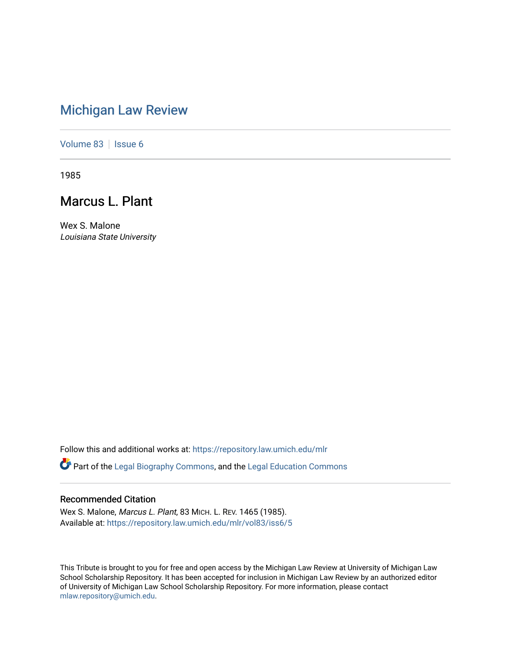## [Michigan Law Review](https://repository.law.umich.edu/mlr)

[Volume 83](https://repository.law.umich.edu/mlr/vol83) | [Issue 6](https://repository.law.umich.edu/mlr/vol83/iss6)

1985

# Marcus L. Plant

Wex S. Malone Louisiana State University

Follow this and additional works at: [https://repository.law.umich.edu/mlr](https://repository.law.umich.edu/mlr?utm_source=repository.law.umich.edu%2Fmlr%2Fvol83%2Fiss6%2F5&utm_medium=PDF&utm_campaign=PDFCoverPages) 

Part of the [Legal Biography Commons,](http://network.bepress.com/hgg/discipline/834?utm_source=repository.law.umich.edu%2Fmlr%2Fvol83%2Fiss6%2F5&utm_medium=PDF&utm_campaign=PDFCoverPages) and the [Legal Education Commons](http://network.bepress.com/hgg/discipline/857?utm_source=repository.law.umich.edu%2Fmlr%2Fvol83%2Fiss6%2F5&utm_medium=PDF&utm_campaign=PDFCoverPages) 

### Recommended Citation

Wex S. Malone, Marcus L. Plant, 83 MICH. L. REV. 1465 (1985). Available at: [https://repository.law.umich.edu/mlr/vol83/iss6/5](https://repository.law.umich.edu/mlr/vol83/iss6/5?utm_source=repository.law.umich.edu%2Fmlr%2Fvol83%2Fiss6%2F5&utm_medium=PDF&utm_campaign=PDFCoverPages)

This Tribute is brought to you for free and open access by the Michigan Law Review at University of Michigan Law School Scholarship Repository. It has been accepted for inclusion in Michigan Law Review by an authorized editor of University of Michigan Law School Scholarship Repository. For more information, please contact [mlaw.repository@umich.edu.](mailto:mlaw.repository@umich.edu)